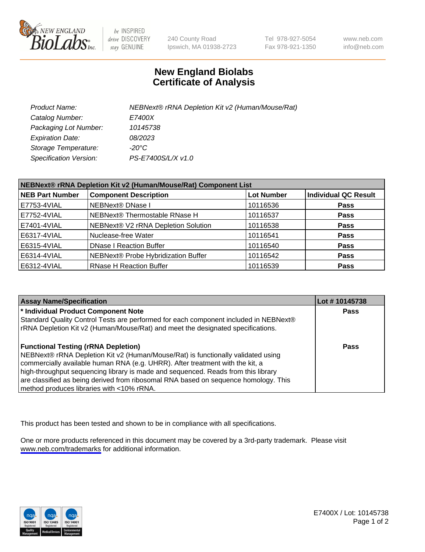

be INSPIRED drive DISCOVERY stay GENUINE

240 County Road Ipswich, MA 01938-2723 Tel 978-927-5054 Fax 978-921-1350

www.neb.com info@neb.com

## **New England Biolabs Certificate of Analysis**

| Product Name:           | NEBNext® rRNA Depletion Kit v2 (Human/Mouse/Rat) |
|-------------------------|--------------------------------------------------|
| Catalog Number:         | <b>E7400X</b>                                    |
| Packaging Lot Number:   | 10145738                                         |
| <b>Expiration Date:</b> | 08/2023                                          |
| Storage Temperature:    | -20°C                                            |
| Specification Version:  | PS-E7400S/L/X v1.0                               |

| NEBNext® rRNA Depletion Kit v2 (Human/Mouse/Rat) Component List |                                     |                   |                             |  |
|-----------------------------------------------------------------|-------------------------------------|-------------------|-----------------------------|--|
| <b>NEB Part Number</b>                                          | <b>Component Description</b>        | <b>Lot Number</b> | <b>Individual QC Result</b> |  |
| E7753-4VIAL                                                     | NEBNext® DNase I                    | 10116536          | <b>Pass</b>                 |  |
| E7752-4VIAL                                                     | NEBNext® Thermostable RNase H       | 10116537          | <b>Pass</b>                 |  |
| E7401-4VIAL                                                     | NEBNext® V2 rRNA Depletion Solution | 10116538          | <b>Pass</b>                 |  |
| E6317-4VIAL                                                     | Nuclease-free Water                 | 10116541          | <b>Pass</b>                 |  |
| E6315-4VIAL                                                     | <b>DNase I Reaction Buffer</b>      | 10116540          | <b>Pass</b>                 |  |
| E6314-4VIAL                                                     | NEBNext® Probe Hybridization Buffer | 10116542          | <b>Pass</b>                 |  |
| E6312-4VIAL                                                     | <b>RNase H Reaction Buffer</b>      | 10116539          | <b>Pass</b>                 |  |

| <b>Assay Name/Specification</b>                                                      | Lot # 10145738 |
|--------------------------------------------------------------------------------------|----------------|
| * Individual Product Component Note                                                  | <b>Pass</b>    |
| Standard Quality Control Tests are performed for each component included in NEBNext® |                |
| rRNA Depletion Kit v2 (Human/Mouse/Rat) and meet the designated specifications.      |                |
| <b>Functional Testing (rRNA Depletion)</b>                                           | Pass           |
| NEBNext® rRNA Depletion Kit v2 (Human/Mouse/Rat) is functionally validated using     |                |
| commercially available human RNA (e.g. UHRR). After treatment with the kit, a        |                |
| high-throughput sequencing library is made and sequenced. Reads from this library    |                |
| are classified as being derived from ribosomal RNA based on sequence homology. This  |                |
| method produces libraries with <10% rRNA.                                            |                |

This product has been tested and shown to be in compliance with all specifications.

One or more products referenced in this document may be covered by a 3rd-party trademark. Please visit <www.neb.com/trademarks>for additional information.